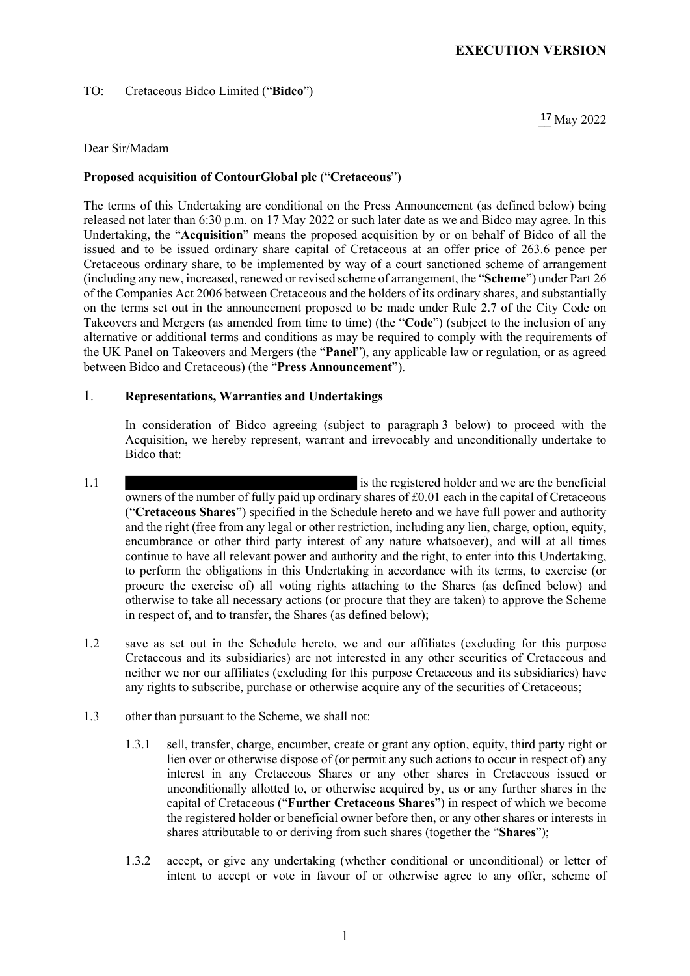## TO: Cretaceous Bidco Limited ("Bidco")

 $17$  May 2022

### Dear Sir/Madam

### Proposed acquisition of **ContourGlobal plc** ("Cretaceous")

The terms of this Undertaking are conditional on the Press Announcement (as defined below) being released not later than 6:30 p.m. on 17 May 2022 or such later date as we and Bidco may agree. In this Undertaking, the "Acquisition" means the proposed acquisition by or on behalf of Bidco of all the issued and to be issued ordinary share capital of Cretaceous at an offer price of 263.6 pence per Cretaceous ordinary share, to be implemented by way of a court sanctioned scheme of arrangement (including any new, increased, renewed or revised scheme of arrangement, the "Scheme") under Part 26 of the Companies Act 2006 between Cretaceous and the holders of its ordinary shares, and substantially on the terms set out in the announcement proposed to be made under Rule 2.7 of the City Code on Takeovers and Mergers (as amended from time to time) (the "Code") (subject to the inclusion of any alternative or additional terms and conditions as may be required to comply with the requirements of the UK Panel on Takeovers and Mergers (the "Panel"), any applicable law or regulation, or as agreed between Bidco and Cretaceous) (the "Press Announcement").

## 1. Representations, Warranties and Undertakings

In consideration of Bidco agreeing (subject to paragraph 3 below) to proceed with the Acquisition, we hereby represent, warrant and irrevocably and unconditionally undertake to Bidco that:

- 1.1 is the registered holder and we are the beneficial owners of the number of fully paid up ordinary shares of £0.01 each in the capital of Cretaceous ("Cretaceous Shares") specified in the Schedule hereto and we have full power and authority and the right (free from any legal or other restriction, including any lien, charge, option, equity, encumbrance or other third party interest of any nature whatsoever), and will at all times continue to have all relevant power and authority and the right, to enter into this Undertaking, to perform the obligations in this Undertaking in accordance with its terms, to exercise (or procure the exercise of) all voting rights attaching to the Shares (as defined below) and otherwise to take all necessary actions (or procure that they are taken) to approve the Scheme in respect of, and to transfer, the Shares (as defined below);
- 1.2 save as set out in the Schedule hereto, we and our affiliates (excluding for this purpose Cretaceous and its subsidiaries) are not interested in any other securities of Cretaceous and neither we nor our affiliates (excluding for this purpose Cretaceous and its subsidiaries) have any rights to subscribe, purchase or otherwise acquire any of the securities of Cretaceous;
- 1.3 other than pursuant to the Scheme, we shall not:
	- 1.3.1 sell, transfer, charge, encumber, create or grant any option, equity, third party right or lien over or otherwise dispose of (or permit any such actions to occur in respect of) any interest in any Cretaceous Shares or any other shares in Cretaceous issued or unconditionally allotted to, or otherwise acquired by, us or any further shares in the capital of Cretaceous ("Further Cretaceous Shares") in respect of which we become the registered holder or beneficial owner before then, or any other shares or interests in shares attributable to or deriving from such shares (together the "Shares");
	- 1.3.2 accept, or give any undertaking (whether conditional or unconditional) or letter of intent to accept or vote in favour of or otherwise agree to any offer, scheme of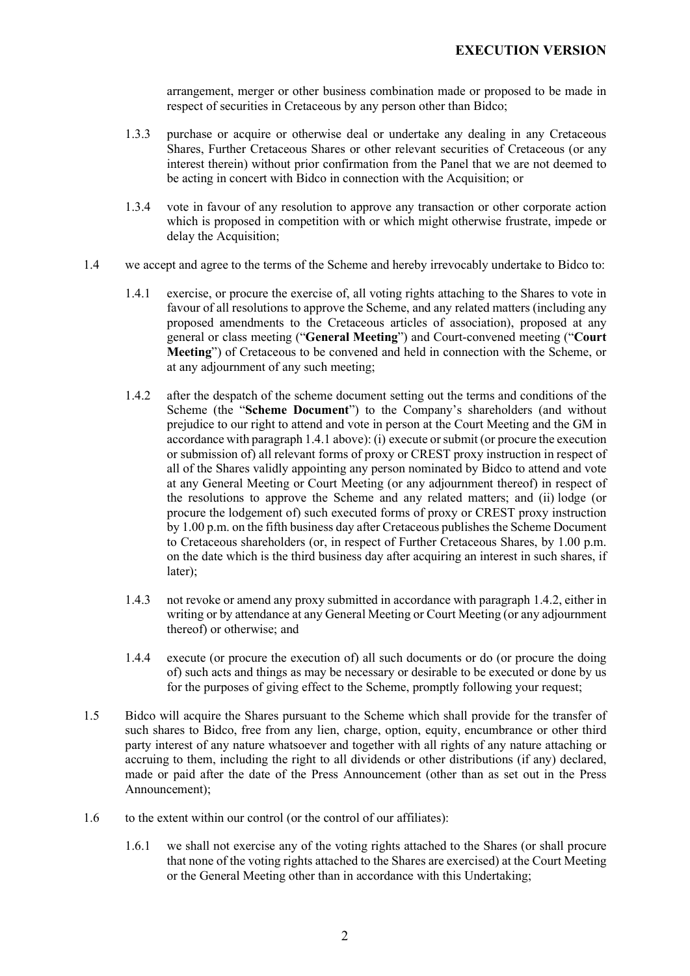arrangement, merger or other business combination made or proposed to be made in respect of securities in Cretaceous by any person other than Bidco;

- 1.3.3 purchase or acquire or otherwise deal or undertake any dealing in any Cretaceous Shares, Further Cretaceous Shares or other relevant securities of Cretaceous (or any interest therein) without prior confirmation from the Panel that we are not deemed to be acting in concert with Bidco in connection with the Acquisition; or
- 1.3.4 vote in favour of any resolution to approve any transaction or other corporate action which is proposed in competition with or which might otherwise frustrate, impede or delay the Acquisition;
- 1.4 we accept and agree to the terms of the Scheme and hereby irrevocably undertake to Bidco to:
	- 1.4.1 exercise, or procure the exercise of, all voting rights attaching to the Shares to vote in favour of all resolutions to approve the Scheme, and any related matters (including any proposed amendments to the Cretaceous articles of association), proposed at any general or class meeting ("General Meeting") and Court-convened meeting ("Court Meeting") of Cretaceous to be convened and held in connection with the Scheme, or at any adjournment of any such meeting;
	- 1.4.2 after the despatch of the scheme document setting out the terms and conditions of the Scheme (the "Scheme Document") to the Company's shareholders (and without prejudice to our right to attend and vote in person at the Court Meeting and the GM in accordance with paragraph 1.4.1 above): (i) execute or submit (or procure the execution or submission of) all relevant forms of proxy or CREST proxy instruction in respect of all of the Shares validly appointing any person nominated by Bidco to attend and vote at any General Meeting or Court Meeting (or any adjournment thereof) in respect of the resolutions to approve the Scheme and any related matters; and (ii) lodge (or procure the lodgement of) such executed forms of proxy or CREST proxy instruction by 1.00 p.m. on the fifth business day after Cretaceous publishes the Scheme Document to Cretaceous shareholders (or, in respect of Further Cretaceous Shares, by 1.00 p.m. on the date which is the third business day after acquiring an interest in such shares, if later);
	- 1.4.3 not revoke or amend any proxy submitted in accordance with paragraph 1.4.2, either in writing or by attendance at any General Meeting or Court Meeting (or any adjournment thereof) or otherwise; and
	- 1.4.4 execute (or procure the execution of) all such documents or do (or procure the doing of) such acts and things as may be necessary or desirable to be executed or done by us for the purposes of giving effect to the Scheme, promptly following your request;
- 1.5 Bidco will acquire the Shares pursuant to the Scheme which shall provide for the transfer of such shares to Bidco, free from any lien, charge, option, equity, encumbrance or other third party interest of any nature whatsoever and together with all rights of any nature attaching or accruing to them, including the right to all dividends or other distributions (if any) declared, made or paid after the date of the Press Announcement (other than as set out in the Press Announcement);
- 1.6 to the extent within our control (or the control of our affiliates):
	- 1.6.1 we shall not exercise any of the voting rights attached to the Shares (or shall procure that none of the voting rights attached to the Shares are exercised) at the Court Meeting or the General Meeting other than in accordance with this Undertaking;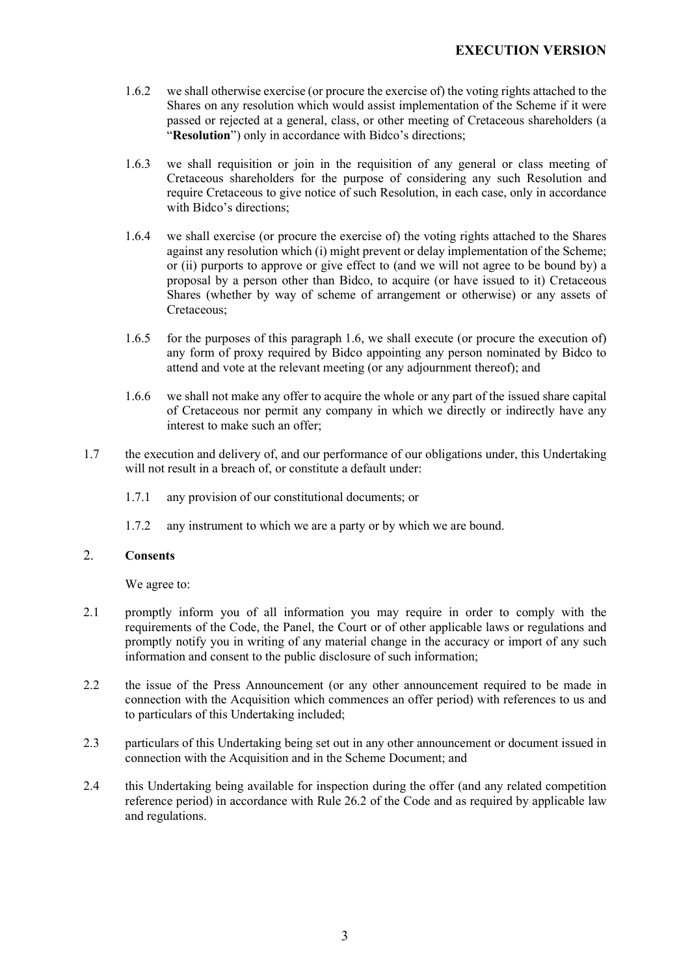- 1.6.2 we shall otherwise exercise (or procure the exercise of) the voting rights attached to the Shares on any resolution which would assist implementation of the Scheme if it were passed or rejected at a general, class, or other meeting of Cretaceous shareholders (a "Resolution") only in accordance with Bidco's directions:
- 1.6.3 we shall requisition or join in the requisition of any general or class meeting of Cretaceous shareholders for the purpose of considering any such Resolution and require Cretaceous to give notice of such Resolution, in each case, only in accordance with Bidco's directions;
- 1.6.4 we shall exercise (or procure the exercise of) the voting rights attached to the Shares against any resolution which (i) might prevent or delay implementation of the Scheme; or (ii) purports to approve or give effect to (and we will not agree to be bound by) a proposal by a person other than Bidco, to acquire (or have issued to it) Cretaceous Shares (whether by way of scheme of arrangement or otherwise) or any assets of Cretaceous;
- 1.6.5 for the purposes of this paragraph 1.6, we shall execute (or procure the execution of) any form of proxy required by Bidco appointing any person nominated by Bidco to attend and vote at the relevant meeting (or any adjournment thereof); and
- 1.6.6 we shall not make any offer to acquire the whole or any part of the issued share capital of Cretaceous nor permit any company in which we directly or indirectly have any interest to make such an offer;
- 1.7 the execution and delivery of, and our performance of our obligations under, this Undertaking will not result in a breach of, or constitute a default under:
	- 1.7.1 any provision of our constitutional documents; or
	- 1.7.2 any instrument to which we are a party or by which we are bound.

# 2. Consents

We agree to:

- 2.1 promptly inform you of all information you may require in order to comply with the requirements of the Code, the Panel, the Court or of other applicable laws or regulations and promptly notify you in writing of any material change in the accuracy or import of any such information and consent to the public disclosure of such information;
- 2.2 the issue of the Press Announcement (or any other announcement required to be made in connection with the Acquisition which commences an offer period) with references to us and to particulars of this Undertaking included;
- 2.3 particulars of this Undertaking being set out in any other announcement or document issued in connection with the Acquisition and in the Scheme Document; and
- 2.4 this Undertaking being available for inspection during the offer (and any related competition reference period) in accordance with Rule 26.2 of the Code and as required by applicable law and regulations.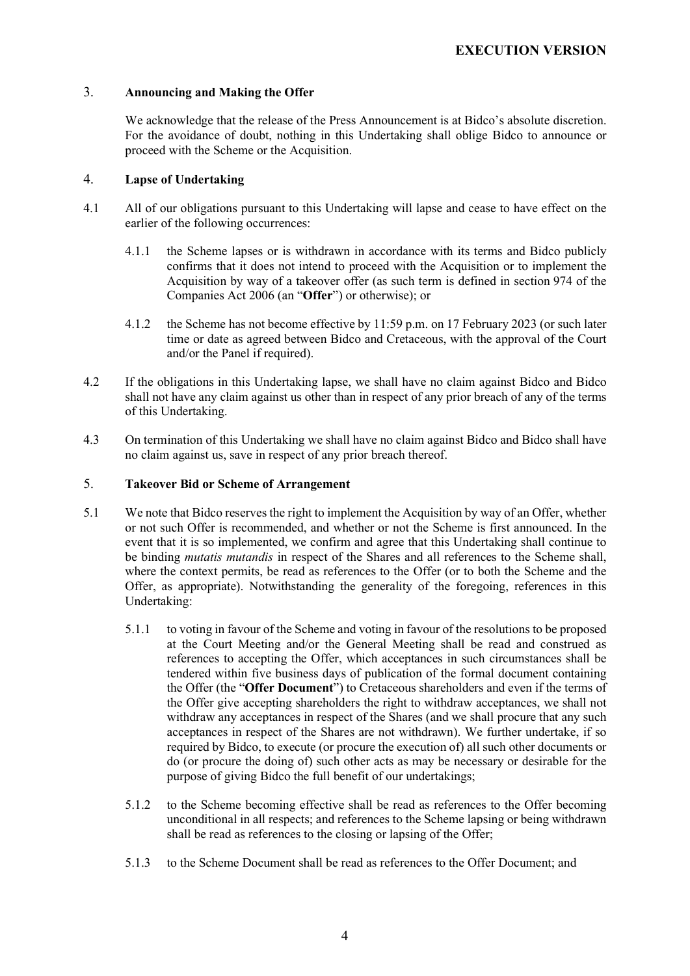## 3. Announcing and Making the Offer

We acknowledge that the release of the Press Announcement is at Bidco's absolute discretion. For the avoidance of doubt, nothing in this Undertaking shall oblige Bidco to announce or proceed with the Scheme or the Acquisition.

## 4. Lapse of Undertaking

- 4.1 All of our obligations pursuant to this Undertaking will lapse and cease to have effect on the earlier of the following occurrences:
	- 4.1.1 the Scheme lapses or is withdrawn in accordance with its terms and Bidco publicly confirms that it does not intend to proceed with the Acquisition or to implement the Acquisition by way of a takeover offer (as such term is defined in section 974 of the Companies Act 2006 (an "Offer") or otherwise); or
	- 4.1.2 the Scheme has not become effective by 11:59 p.m. on 17 February 2023 (or such later time or date as agreed between Bidco and Cretaceous, with the approval of the Court and/or the Panel if required).
- 4.2 If the obligations in this Undertaking lapse, we shall have no claim against Bidco and Bidco shall not have any claim against us other than in respect of any prior breach of any of the terms of this Undertaking.
- 4.3 On termination of this Undertaking we shall have no claim against Bidco and Bidco shall have no claim against us, save in respect of any prior breach thereof.

## 5. Takeover Bid or Scheme of Arrangement

- 5.1 We note that Bidco reserves the right to implement the Acquisition by way of an Offer, whether or not such Offer is recommended, and whether or not the Scheme is first announced. In the event that it is so implemented, we confirm and agree that this Undertaking shall continue to be binding *mutatis mutandis* in respect of the Shares and all references to the Scheme shall, where the context permits, be read as references to the Offer (or to both the Scheme and the Offer, as appropriate). Notwithstanding the generality of the foregoing, references in this Undertaking:
	- 5.1.1 to voting in favour of the Scheme and voting in favour of the resolutions to be proposed at the Court Meeting and/or the General Meeting shall be read and construed as references to accepting the Offer, which acceptances in such circumstances shall be tendered within five business days of publication of the formal document containing the Offer (the "Offer Document") to Cretaceous shareholders and even if the terms of the Offer give accepting shareholders the right to withdraw acceptances, we shall not withdraw any acceptances in respect of the Shares (and we shall procure that any such acceptances in respect of the Shares are not withdrawn). We further undertake, if so required by Bidco, to execute (or procure the execution of) all such other documents or do (or procure the doing of) such other acts as may be necessary or desirable for the purpose of giving Bidco the full benefit of our undertakings;
	- 5.1.2 to the Scheme becoming effective shall be read as references to the Offer becoming unconditional in all respects; and references to the Scheme lapsing or being withdrawn shall be read as references to the closing or lapsing of the Offer;
	- 5.1.3 to the Scheme Document shall be read as references to the Offer Document; and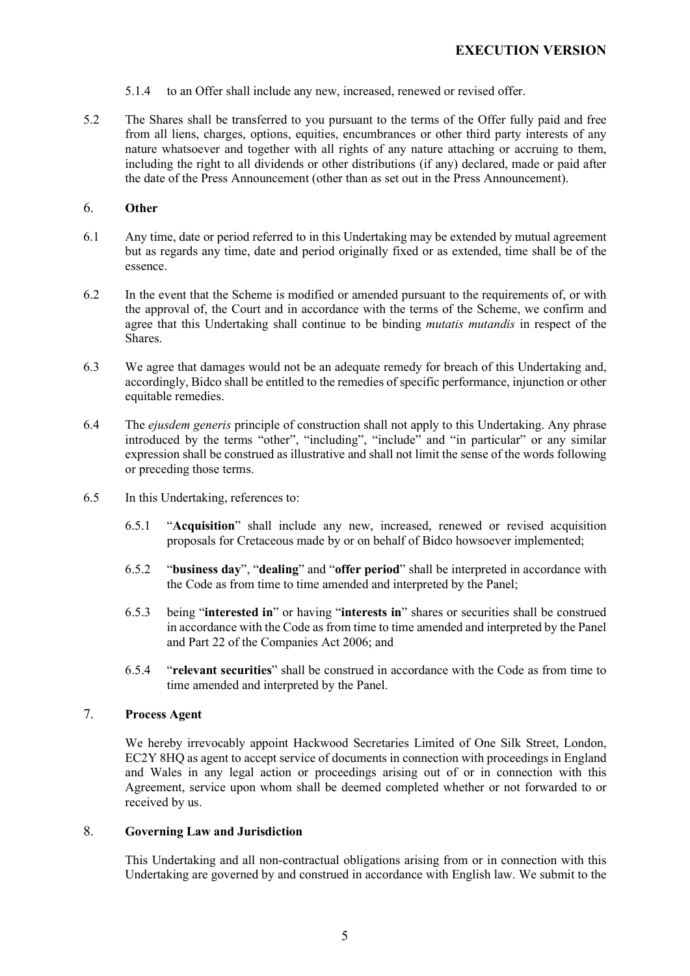- 5.1.4 to an Offer shall include any new, increased, renewed or revised offer.
- 5.2 The Shares shall be transferred to you pursuant to the terms of the Offer fully paid and free from all liens, charges, options, equities, encumbrances or other third party interests of any nature whatsoever and together with all rights of any nature attaching or accruing to them, including the right to all dividends or other distributions (if any) declared, made or paid after the date of the Press Announcement (other than as set out in the Press Announcement).

### 6. Other

- 6.1 Any time, date or period referred to in this Undertaking may be extended by mutual agreement but as regards any time, date and period originally fixed or as extended, time shall be of the essence.
- 6.2 In the event that the Scheme is modified or amended pursuant to the requirements of, or with the approval of, the Court and in accordance with the terms of the Scheme, we confirm and agree that this Undertaking shall continue to be binding mutatis mutandis in respect of the Shares.
- 6.3 We agree that damages would not be an adequate remedy for breach of this Undertaking and, accordingly, Bidco shall be entitled to the remedies of specific performance, injunction or other equitable remedies.
- 6.4 The ejusdem generis principle of construction shall not apply to this Undertaking. Any phrase introduced by the terms "other", "including", "include" and "in particular" or any similar expression shall be construed as illustrative and shall not limit the sense of the words following or preceding those terms.
- 6.5 In this Undertaking, references to:
	- 6.5.1 "Acquisition" shall include any new, increased, renewed or revised acquisition proposals for Cretaceous made by or on behalf of Bidco howsoever implemented;
	- 6.5.2 "business day", "dealing" and "offer period" shall be interpreted in accordance with the Code as from time to time amended and interpreted by the Panel;
	- 6.5.3 being "interested in" or having "interests in" shares or securities shall be construed in accordance with the Code as from time to time amended and interpreted by the Panel and Part 22 of the Companies Act 2006; and
	- 6.5.4 "relevant securities" shall be construed in accordance with the Code as from time to time amended and interpreted by the Panel.

### 7. Process Agent

We hereby irrevocably appoint Hackwood Secretaries Limited of One Silk Street, London, EC2Y 8HQ as agent to accept service of documents in connection with proceedings in England and Wales in any legal action or proceedings arising out of or in connection with this Agreement, service upon whom shall be deemed completed whether or not forwarded to or received by us.

# 8. Governing Law and Jurisdiction

This Undertaking and all non-contractual obligations arising from or in connection with this Undertaking are governed by and construed in accordance with English law. We submit to the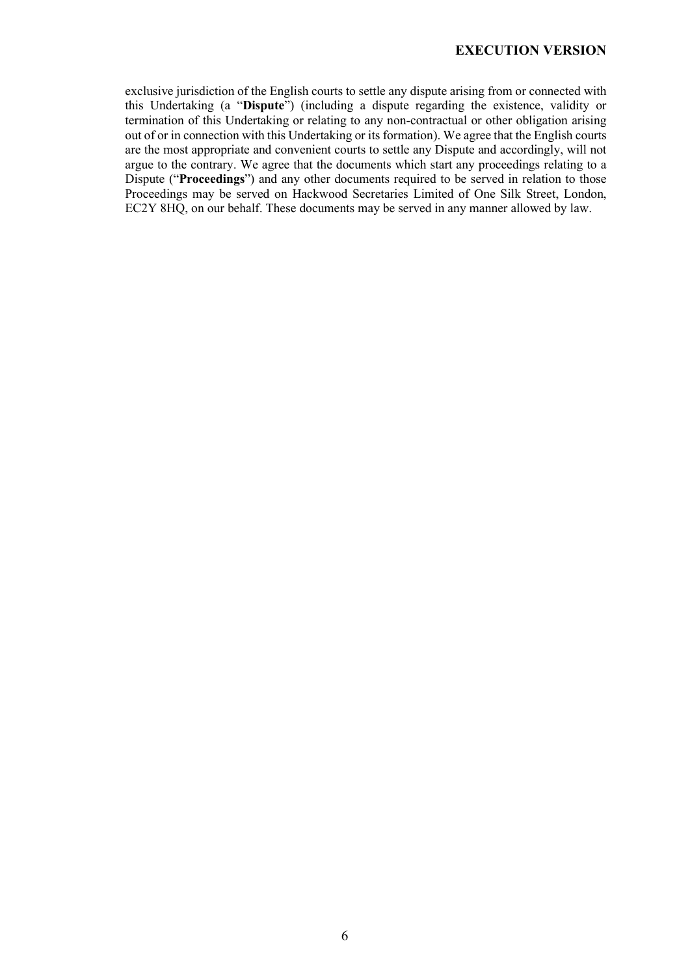exclusive jurisdiction of the English courts to settle any dispute arising from or connected with this Undertaking (a "Dispute") (including a dispute regarding the existence, validity or termination of this Undertaking or relating to any non-contractual or other obligation arising out of or in connection with this Undertaking or its formation). We agree that the English courts are the most appropriate and convenient courts to settle any Dispute and accordingly, will not argue to the contrary. We agree that the documents which start any proceedings relating to a Dispute ("Proceedings") and any other documents required to be served in relation to those Proceedings may be served on Hackwood Secretaries Limited of One Silk Street, London, EC2Y 8HQ, on our behalf. These documents may be served in any manner allowed by law.